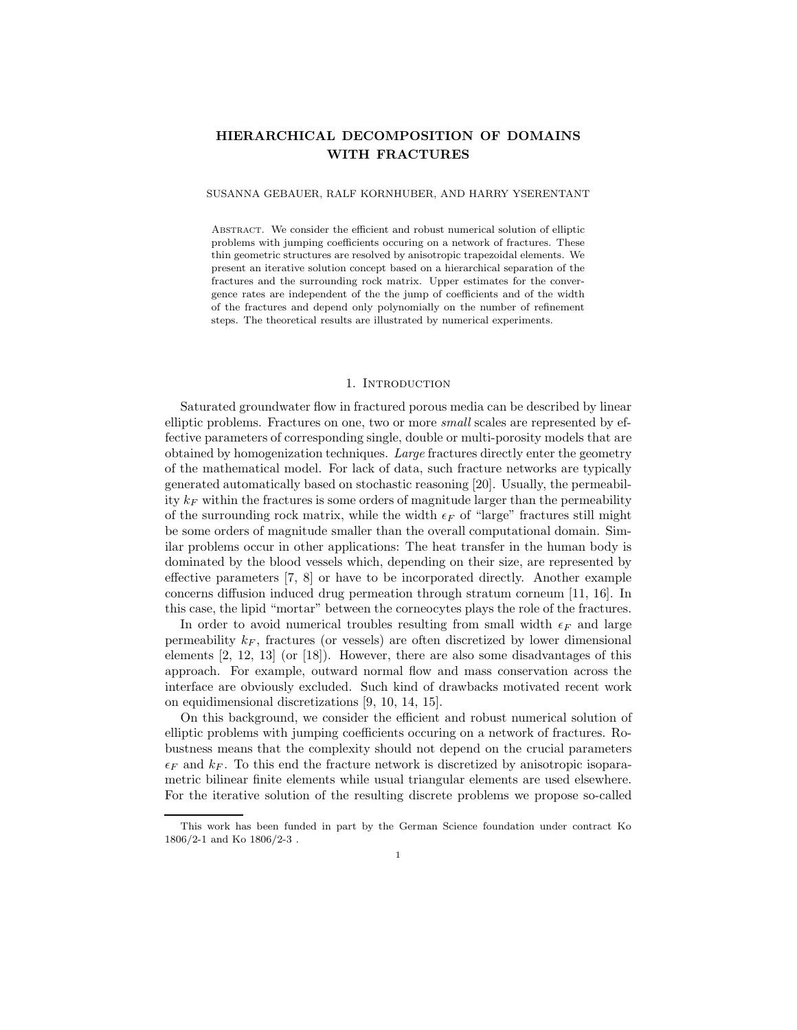# **HIERARCHICAL DECOMPOSITION OF DOMAINS WITH FRACTURES**

## SUSANNA GEBAUER, RALF KORNHUBER, AND HARRY YSERENTANT

Abstract. We consider the efficient and robust numerical solution of elliptic problems with jumping coefficients occuring on a network of fractures. These thin geometric structures are resolved by anisotropic trapezoidal elements. We present an iterative solution concept based on a hierarchical separation of the fractures and the surrounding rock matrix. Upper estimates for the convergence rates are independent of the the jump of coefficients and of the width of the fractures and depend only polynomially on the number of refinement steps. The theoretical results are illustrated by numerical experiments.

#### 1. INTRODUCTION

Saturated groundwater flow in fractured porous media can be described by linear elliptic problems. Fractures on one, two or more *small* scales are represented by effective parameters of corresponding single, double or multi-porosity models that are obtained by homogenization techniques. *Large* fractures directly enter the geometry of the mathematical model. For lack of data, such fracture networks are typically generated automatically based on stochastic reasoning [20]. Usually, the permeability  $k_F$  within the fractures is some orders of magnitude larger than the permeability of the surrounding rock matrix, while the width  $\epsilon_F$  of "large" fractures still might be some orders of magnitude smaller than the overall computational domain. Similar problems occur in other applications: The heat transfer in the human body is dominated by the blood vessels which, depending on their size, are represented by effective parameters [7, 8] or have to be incorporated directly. Another example concerns diffusion induced drug permeation through stratum corneum [11, 16]. In this case, the lipid "mortar" between the corneocytes plays the role of the fractures.

In order to avoid numerical troubles resulting from small width  $\epsilon_F$  and large permeability  $k_F$ , fractures (or vessels) are often discretized by lower dimensional elements [2, 12, 13] (or [18]). However, there are also some disadvantages of this approach. For example, outward normal flow and mass conservation across the interface are obviously excluded. Such kind of drawbacks motivated recent work on equidimensional discretizations [9, 10, 14, 15].

On this background, we consider the efficient and robust numerical solution of elliptic problems with jumping coefficients occuring on a network of fractures. Robustness means that the complexity should not depend on the crucial parameters  $\epsilon_F$  and  $k_F$ . To this end the fracture network is discretized by anisotropic isoparametric bilinear finite elements while usual triangular elements are used elsewhere. For the iterative solution of the resulting discrete problems we propose so-called

This work has been funded in part by the German Science foundation under contract Ko 1806/2-1 and Ko 1806/2-3 .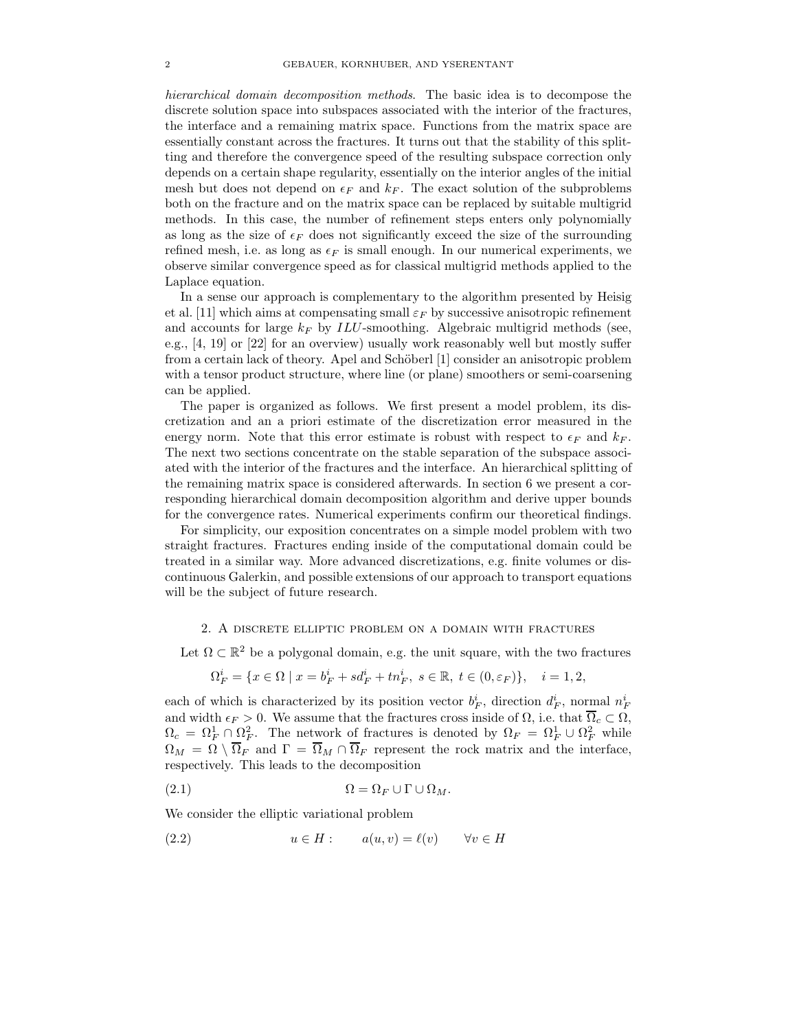*hierarchical domain decomposition methods*. The basic idea is to decompose the discrete solution space into subspaces associated with the interior of the fractures, the interface and a remaining matrix space. Functions from the matrix space are essentially constant across the fractures. It turns out that the stability of this splitting and therefore the convergence speed of the resulting subspace correction only depends on a certain shape regularity, essentially on the interior angles of the initial mesh but does not depend on  $\epsilon_F$  and  $k_F$ . The exact solution of the subproblems both on the fracture and on the matrix space can be replaced by suitable multigrid methods. In this case, the number of refinement steps enters only polynomially as long as the size of  $\epsilon_F$  does not significantly exceed the size of the surrounding refined mesh, i.e. as long as  $\epsilon_F$  is small enough. In our numerical experiments, we observe similar convergence speed as for classical multigrid methods applied to the Laplace equation.

In a sense our approach is complementary to the algorithm presented by Heisig et al. [11] which aims at compensating small  $\varepsilon_F$  by successive anisotropic refinement and accounts for large  $k_F$  by  $ILU$ -smoothing. Algebraic multigrid methods (see, e.g., [4, 19] or [22] for an overview) usually work reasonably well but mostly suffer from a certain lack of theory. Apel and Schöberl [1] consider an anisotropic problem with a tensor product structure, where line (or plane) smoothers or semi-coarsening can be applied.

The paper is organized as follows. We first present a model problem, its discretization and an a priori estimate of the discretization error measured in the energy norm. Note that this error estimate is robust with respect to  $\epsilon_F$  and  $k_F$ . The next two sections concentrate on the stable separation of the subspace associated with the interior of the fractures and the interface. An hierarchical splitting of the remaining matrix space is considered afterwards. In section 6 we present a corresponding hierarchical domain decomposition algorithm and derive upper bounds for the convergence rates. Numerical experiments confirm our theoretical findings.

For simplicity, our exposition concentrates on a simple model problem with two straight fractures. Fractures ending inside of the computational domain could be treated in a similar way. More advanced discretizations, e.g. finite volumes or discontinuous Galerkin, and possible extensions of our approach to transport equations will be the subject of future research.

# 2. A discrete elliptic problem on a domain with fractures

Let  $\Omega \subset \mathbb{R}^2$  be a polygonal domain, e.g. the unit square, with the two fractures

$$
\Omega_F^i = \{ x \in \Omega \mid x = b_F^i + s d_F^i + t n_F^i, \ s \in \mathbb{R}, \ t \in (0, \varepsilon_F) \}, \quad i = 1, 2,
$$

each of which is characterized by its position vector  $b_F^i$ , direction  $d_F^i$ , normal  $n_F^i$ and width  $\epsilon_F > 0$ . We assume that the fractures cross inside of  $\Omega$ , i.e. that  $\Omega_c \subset \Omega$ ,  $\Omega_c = \Omega_F^1 \cap \Omega_F^2$ . The network of fractures is denoted by  $\Omega_F = \Omega_F^1 \cup \Omega_F^2$  while  $\Omega_M = \Omega \setminus \overline{\Omega}_F$  and  $\Gamma = \overline{\Omega}_M \cap \overline{\Omega}_F$  represent the rock matrix and the interface, respectively. This leads to the decomposition

$$
(2.1) \t\t \t\t \Omega = \Omega_F \cup \Gamma \cup \Omega_M.
$$

We consider the elliptic variational problem

(2.2) 
$$
u \in H:
$$
  $a(u, v) = \ell(v) \quad \forall v \in H$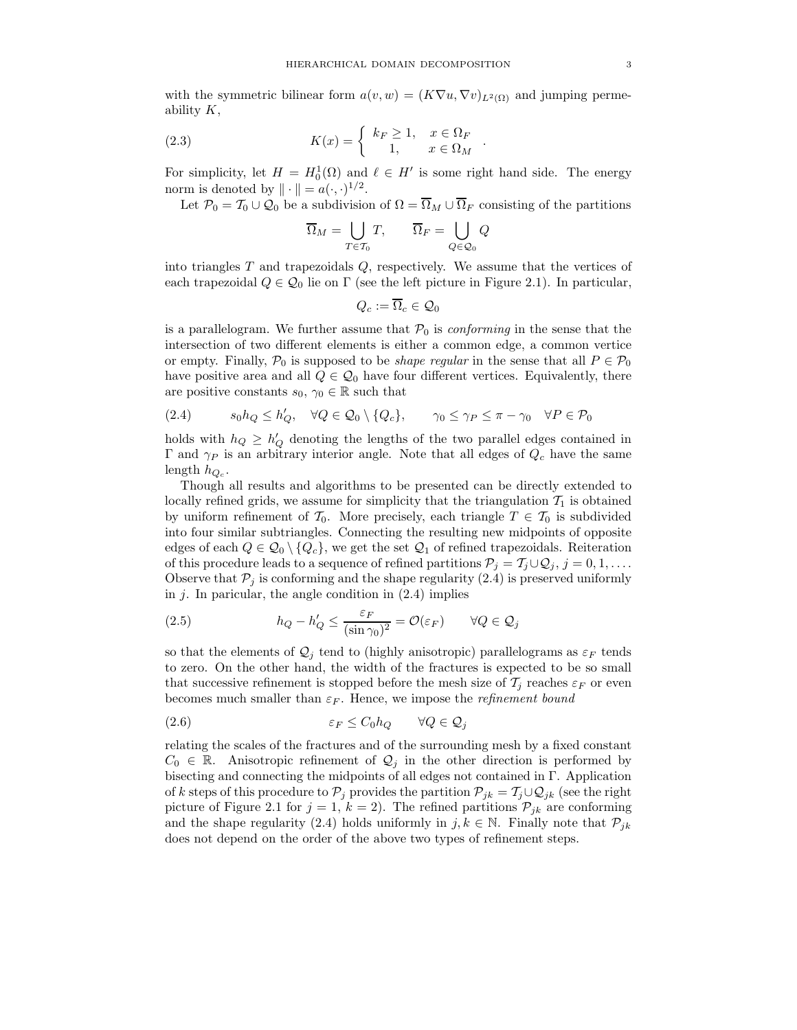with the symmetric bilinear form  $a(v, w)=(K\nabla u, \nabla v)_{L^2(\Omega)}$  and jumping permeability  $K$ ,

(2.3) 
$$
K(x) = \begin{cases} k_F \ge 1, & x \in \Omega_F \\ 1, & x \in \Omega_M \end{cases}.
$$

For simplicity, let  $H = H_0^1(\Omega)$  and  $\ell \in H'$  is some right hand side. The energy norm is denoted by  $\|\cdot\| = a(\cdot, \cdot)^{1/2}$ .

Let  $\mathcal{P}_0 = \mathcal{T}_0 \cup \mathcal{Q}_0$  be a subdivision of  $\Omega = \overline{\Omega}_M \cup \overline{\Omega}_F$  consisting of the partitions

$$
\overline{\Omega}_M = \bigcup_{T \in \mathcal{T}_0} T, \qquad \overline{\Omega}_F = \bigcup_{Q \in \mathcal{Q}_0} Q
$$

into triangles  $T$  and trapezoidals  $Q$ , respectively. We assume that the vertices of each trapezoidal  $Q \in \mathcal{Q}_0$  lie on  $\Gamma$  (see the left picture in Figure 2.1). In particular,

$$
Q_c:=\Omega_c\in\mathcal{Q}_0
$$

is a parallelogram. We further assume that  $P_0$  is *conforming* in the sense that the intersection of two different elements is either a common edge, a common vertice or empty. Finally,  $\mathcal{P}_0$  is supposed to be *shape regular* in the sense that all  $P \in \mathcal{P}_0$ have positive area and all  $Q \in \mathcal{Q}_0$  have four different vertices. Equivalently, there are positive constants  $s_0, \gamma_0 \in \mathbb{R}$  such that

(2.4) 
$$
s_0 h_Q \le h'_Q, \quad \forall Q \in \mathcal{Q}_0 \setminus \{Q_c\}, \quad \gamma_0 \le \gamma_P \le \pi - \gamma_0 \quad \forall P \in \mathcal{P}_0
$$

holds with  $h_Q \geq h'_Q$  denoting the lengths of the two parallel edges contained in Γ and  $γ$  is an arbitrary interior angle. Note that all edges of  $Q<sub>c</sub>$  have the same length  $h_{Q_c}$ .

Though all results and algorithms to be presented can be directly extended to locally refined grids, we assume for simplicity that the triangulation  $\mathcal{T}_1$  is obtained by uniform refinement of  $\mathcal{T}_0$ . More precisely, each triangle  $T \in \mathcal{T}_0$  is subdivided into four similar subtriangles. Connecting the resulting new midpoints of opposite edges of each  $Q \in \mathcal{Q}_0 \setminus \{Q_c\}$ , we get the set  $\mathcal{Q}_1$  of refined trapezoidals. Reiteration of this procedure leads to a sequence of refined partitions  $\mathcal{P}_j = \mathcal{T}_j \cup \mathcal{Q}_j$ ,  $j = 0, 1, \ldots$ . Observe that  $P_j$  is conforming and the shape regularity (2.4) is preserved uniformly in  $j$ . In paricular, the angle condition in  $(2.4)$  implies

(2.5) 
$$
h_Q - h'_Q \le \frac{\varepsilon_F}{(\sin \gamma_0)^2} = \mathcal{O}(\varepsilon_F) \qquad \forall Q \in \mathcal{Q}_j
$$

so that the elements of  $\mathcal{Q}_j$  tend to (highly anisotropic) parallelograms as  $\varepsilon_F$  tends to zero. On the other hand, the width of the fractures is expected to be so small that successive refinement is stopped before the mesh size of  $\mathcal{T}_i$  reaches  $\varepsilon_F$  or even becomes much smaller than  $\varepsilon_F$ . Hence, we impose the *refinement bound* 

$$
(2.6) \t\t \varepsilon_F \le C_0 h_Q \t \forall Q \in \mathcal{Q}_j
$$

relating the scales of the fractures and of the surrounding mesh by a fixed constant  $C_0 \in \mathbb{R}$ . Anisotropic refinement of  $\mathcal{Q}_j$  in the other direction is performed by bisecting and connecting the midpoints of all edges not contained in  $\Gamma$ . Application of k steps of this procedure to  $\mathcal{P}_j$  provides the partition  $\mathcal{P}_{jk} = \mathcal{T}_j \cup \mathcal{Q}_{jk}$  (see the right picture of Figure 2.1 for  $j = 1, k = 2$ . The refined partitions  $\mathcal{P}_{jk}$  are conforming and the shape regularity (2.4) holds uniformly in j,  $k \in \mathbb{N}$ . Finally note that  $\mathcal{P}_{ik}$ does not depend on the order of the above two types of refinement steps.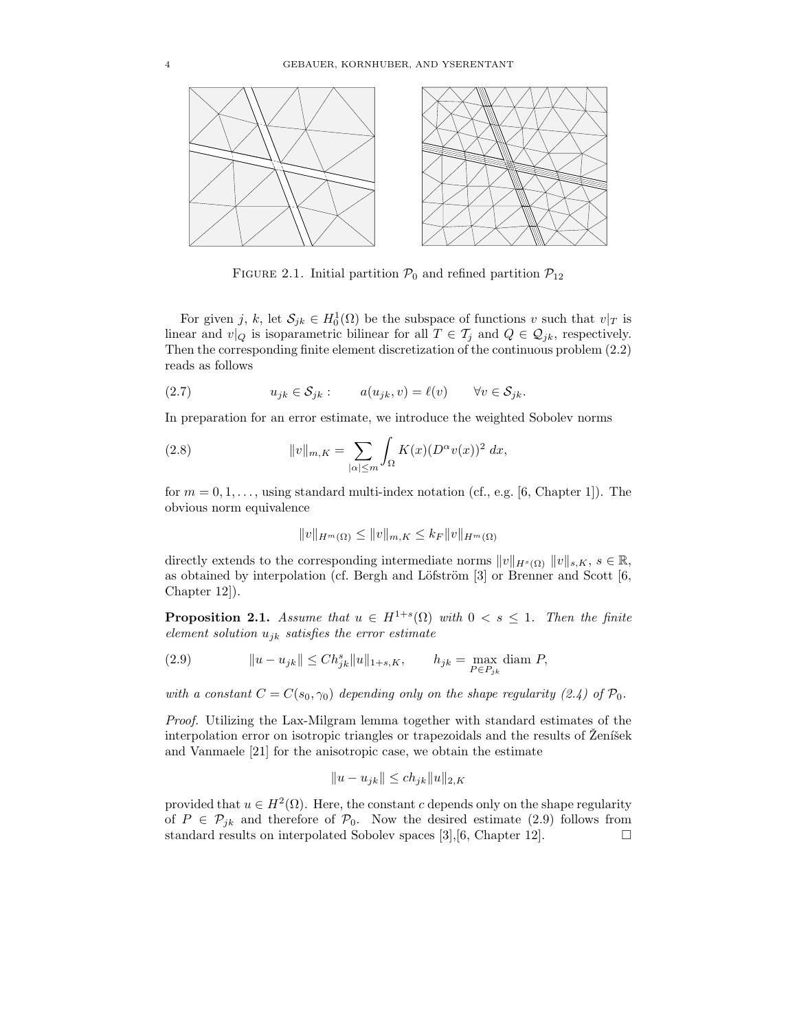

FIGURE 2.1. Initial partition  $\mathcal{P}_0$  and refined partition  $\mathcal{P}_{12}$ 

For given j, k, let  $S_{jk} \in H_0^1(\Omega)$  be the subspace of functions v such that  $v|_T$  is linear and  $v|_Q$  is isoparametric bilinear for all  $T \in \mathcal{T}_j$  and  $Q \in \mathcal{Q}_{jk}$ , respectively. Then the corresponding finite element discretization of the continuous problem (2.2) reads as follows

(2.7) 
$$
u_{jk} \in \mathcal{S}_{jk} : \qquad a(u_{jk}, v) = \ell(v) \qquad \forall v \in \mathcal{S}_{jk}.
$$

In preparation for an error estimate, we introduce the weighted Sobolev norms

(2.8) 
$$
||v||_{m,K} = \sum_{|\alpha| \leq m} \int_{\Omega} K(x) (D^{\alpha}v(x))^2 dx,
$$

for  $m = 0, 1, \ldots$ , using standard multi-index notation (cf., e.g. [6, Chapter 1]). The obvious norm equivalence

$$
||v||_{H^m(\Omega)} \le ||v||_{m,K} \le k_F ||v||_{H^m(\Omega)}
$$

directly extends to the corresponding intermediate norms  $||v||_{H^s(\Omega)} ||v||_{s,K}, s \in \mathbb{R}$ , as obtained by interpolation (cf. Bergh and Löfström  $[3]$  or Brenner and Scott  $[6,$ Chapter 12]).

**Proposition 2.1.** *Assume that*  $u \in H^{1+s}(\Omega)$  *with*  $0 \lt s \leq 1$ *. Then the finite element solution* ujk *satisfies the error estimate*

(2.9) 
$$
||u - u_{jk}|| \leq Ch_{jk}^s ||u||_{1+s,K}, \qquad h_{jk} = \max_{P \in P_{jk}} \text{diam } P,
$$

*with a constant*  $C = C(s_0, \gamma_0)$  *depending only on the shape regularity (2.4) of*  $\mathcal{P}_0$ *.* 

*Proof.* Utilizing the Lax-Milgram lemma together with standard estimates of the interpolation error on isotropic triangles or trapezoidals and the results of  $\tilde{Z}$ ení šek and Vanmaele [21] for the anisotropic case, we obtain the estimate

$$
||u - u_{jk}|| \le ch_{jk} ||u||_{2,K}
$$

provided that  $u \in H^2(\Omega)$ . Here, the constant c depends only on the shape regularity of  $P \in \mathcal{P}_{jk}$  and therefore of  $\mathcal{P}_0$ . Now the desired estimate (2.9) follows from standard results on interpolated Sobolev spaces [3], [6, Chapter 12]. standard results on interpolated Sobolev spaces [3], [6, Chapter 12].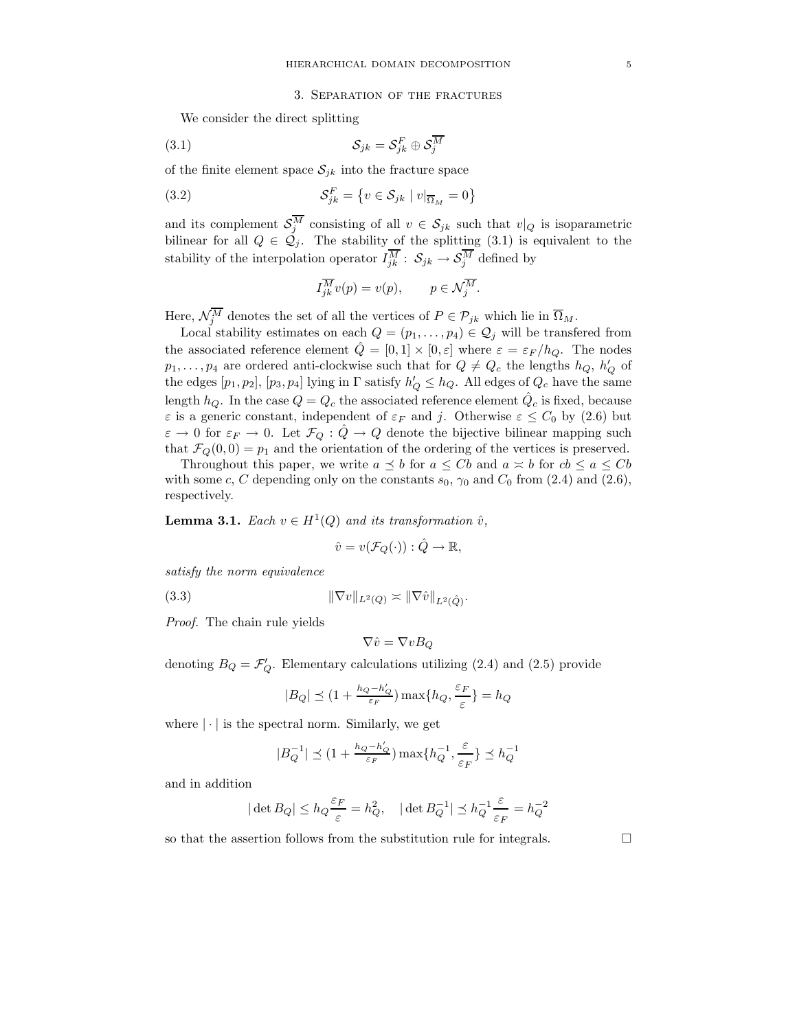### 3. Separation of the fractures

We consider the direct splitting

(3.1) 
$$
\mathcal{S}_{jk} = \mathcal{S}_{jk}^F \oplus \mathcal{S}_{j}^{\overline{M}}
$$

of the finite element space  $S_{jk}$  into the fracture space

(3.2) 
$$
\mathcal{S}_{jk}^F = \{ v \in \mathcal{S}_{jk} \mid v|_{\overline{\Omega}_M} = 0 \}
$$

and its complement  $S_j^M$  consisting of all  $v \in S_{jk}$  such that  $v|_Q$  is isoparametric bilinear for all  $Q \in \mathcal{Q}_j$ . The stability of the splitting (3.1) is equivalent to the stability of the interpolation operator  $I_{jk}^M$ :  $S_{jk} \rightarrow S_j^M$  defined by

$$
I_{jk}^{\overline{M}}v(p) = v(p), \qquad p \in \mathcal{N}_j^{\overline{M}}.
$$

Here,  $\mathcal{N}_j^M$  denotes the set of all the vertices of  $P \in \mathcal{P}_{jk}$  which lie in  $\overline{\Omega}_M$ .

Local stability estimates on each  $Q = (p_1, \ldots, p_4) \in \mathcal{Q}_j$  will be transfered from the associated reference element  $\hat{Q} = [0, 1] \times [0, \varepsilon]$  where  $\varepsilon = \varepsilon_F / h_Q$ . The nodes  $p_1, \ldots, p_4$  are ordered anti-clockwise such that for  $Q \neq Q_c$  the lengths  $h_Q, h'_Q$  of the edges  $[p_1, p_2]$ ,  $[p_3, p_4]$  lying in  $\Gamma$  satisfy  $h'_Q \leq h_Q$ . All edges of  $Q_c$  have the same length  $h_Q$ . In the case  $Q = Q_c$  the associated reference element  $\hat{Q}_c$  is fixed, because  $\varepsilon$  is a generic constant, independent of  $\varepsilon_F$  and j. Otherwise  $\varepsilon \leq C_0$  by (2.6) but  $\varepsilon \to 0$  for  $\varepsilon_F \to 0$ . Let  $\mathcal{F}_Q : \hat{Q} \to Q$  denote the bijective bilinear mapping such that  $\mathcal{F}_Q(0,0) = p_1$  and the orientation of the ordering of the vertices is preserved.

Throughout this paper, we write  $a \preceq b$  for  $a \leq Cb$  and  $a \asymp b$  for  $cb \leq a \leq Cb$ with some c, C depending only on the constants  $s_0$ ,  $\gamma_0$  and  $C_0$  from (2.4) and (2.6), respectively.

**Lemma 3.1.** *Each*  $v \in H^1(Q)$  *and its transformation*  $\hat{v}$ *,* 

$$
\hat{v} = v(\mathcal{F}_Q(\cdot)) : \hat{Q} \to \mathbb{R},
$$

*satisfy the norm equivalence*

(3.3) 
$$
\|\nabla v\|_{L^2(Q)} \asymp \|\nabla \hat{v}\|_{L^2(\hat{Q})}.
$$

*Proof.* The chain rule yields

$$
\nabla \hat{v} = \nabla v B_Q
$$

denoting  $B_Q = \mathcal{F}'_Q$ . Elementary calculations utilizing (2.4) and (2.5) provide

$$
|B_Q| \preceq (1 + \frac{h_Q - h'_Q}{\varepsilon_F}) \max\{h_Q, \frac{\varepsilon_F}{\varepsilon}\} = h_Q
$$

where  $|\cdot|$  is the spectral norm. Similarly, we get

$$
|B_Q^{-1}|\preceq (1+\tfrac{h_Q-h_Q'}{\varepsilon_F})\max\{h_Q^{-1},\tfrac{\varepsilon}{\varepsilon_F}\}\preceq h_Q^{-1}
$$

and in addition

$$
|\det B_Q| \le h_Q \frac{\varepsilon_F}{\varepsilon} = h_Q^2
$$
,  $|\det B_Q^{-1}| \le h_Q^{-1} \frac{\varepsilon}{\varepsilon_F} = h_Q^{-2}$ 

so that the assertion follows from the substitution rule for integrals.  $\Box$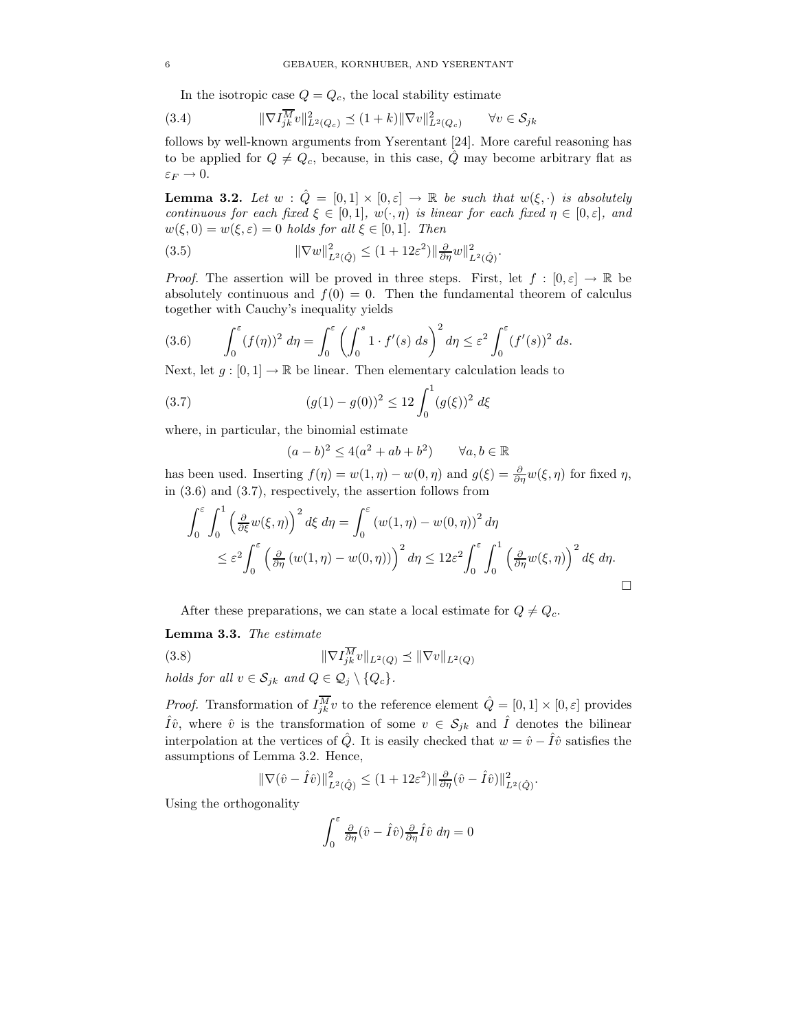In the isotropic case  $Q = Q_c$ , the local stability estimate

(3.4) 
$$
\|\nabla I_{jk}^{\overline{M}}v\|_{L^2(Q_c)}^2 \le (1+k)\|\nabla v\|_{L^2(Q_c)}^2 \qquad \forall v \in \mathcal{S}_{jk}
$$

follows by well-known arguments from Yserentant [24]. More careful reasoning has to be applied for  $Q \neq Q_c$ , because, in this case,  $\hat{Q}$  may become arbitrary flat as  $\varepsilon_F \to 0.$ 

**Lemma 3.2.** Let  $w : \hat{Q} = [0,1] \times [0,\varepsilon] \rightarrow \mathbb{R}$  be such that  $w(\xi, \cdot)$  is absolutely *continuous for each fixed*  $\xi \in [0,1]$ *, w*( $\cdot$ , $\eta$ *) is linear for each fixed*  $\eta \in [0,\varepsilon]$ *, and*  $w(\xi, 0) = w(\xi, \varepsilon) = 0$  *holds for all*  $\xi \in [0, 1]$ *. Then* 

.

(3.5) 
$$
\|\nabla w\|_{L^2(\hat{Q})}^2 \le (1+12\varepsilon^2) \|\frac{\partial}{\partial \eta} w\|_{L^2(\hat{Q})}^2
$$

*Proof.* The assertion will be proved in three steps. First, let  $f : [0, \varepsilon] \to \mathbb{R}$  be absolutely continuous and  $f(0) = 0$ . Then the fundamental theorem of calculus together with Cauchy's inequality yields

(3.6) 
$$
\int_0^{\varepsilon} (f(\eta))^2 d\eta = \int_0^{\varepsilon} \left( \int_0^s 1 \cdot f'(s) ds \right)^2 d\eta \leq \varepsilon^2 \int_0^{\varepsilon} (f'(s))^2 ds.
$$

Next, let  $g : [0,1] \to \mathbb{R}$  be linear. Then elementary calculation leads to

(3.7) 
$$
(g(1) - g(0))^2 \le 12 \int_0^1 (g(\xi))^2 d\xi
$$

where, in particular, the binomial estimate

$$
(a-b)^2 \le 4(a^2+ab+b^2) \qquad \forall a, b \in \mathbb{R}
$$

has been used. Inserting  $f(\eta) = w(1, \eta) - w(0, \eta)$  and  $g(\xi) = \frac{\partial}{\partial \eta} w(\xi, \eta)$  for fixed  $\eta$ , in (3.6) and (3.7), respectively, the assertion follows from

$$
\int_0^{\varepsilon} \int_0^1 \left( \frac{\partial}{\partial \xi} w(\xi, \eta) \right)^2 d\xi \, d\eta = \int_0^{\varepsilon} \left( w(1, \eta) - w(0, \eta) \right)^2 d\eta
$$
  

$$
\leq \varepsilon^2 \int_0^{\varepsilon} \left( \frac{\partial}{\partial \eta} \left( w(1, \eta) - w(0, \eta) \right) \right)^2 d\eta \leq 12\varepsilon^2 \int_0^{\varepsilon} \int_0^1 \left( \frac{\partial}{\partial \eta} w(\xi, \eta) \right)^2 d\xi \, d\eta.
$$

After these preparations, we can state a local estimate for  $Q \neq Q_c$ .

# **Lemma 3.3.** *The estimate*

(3.8) 
$$
\|\nabla I_{jk}^{\overline{M}}v\|_{L^2(Q)} \preceq \|\nabla v\|_{L^2(Q)}
$$

*holds for all*  $v \in S_{jk}$  *and*  $Q \in \mathcal{Q}_j \setminus \{Q_c\}$ *.* 

*Proof.* Transformation of  $I_{jk}^{\overline{M}}v$  to the reference element  $\hat{Q} = [0,1] \times [0,\varepsilon]$  provides  $\hat{I}\hat{v}$ , where  $\hat{v}$  is the transformation of some  $v \in \mathcal{S}_{jk}$  and  $\hat{I}$  denotes the bilinear interpolation at the vertices of  $\hat{Q}$ . It is easily checked that  $w = \hat{v} - \hat{I}\hat{v}$  satisfies the assumptions of Lemma 3.2. Hence,

$$
\|\nabla(\hat{v} - \hat{I}\hat{v})\|_{L^2(\hat{Q})}^2 \le (1 + 12\varepsilon^2) \|\frac{\partial}{\partial \eta}(\hat{v} - \hat{I}\hat{v})\|_{L^2(\hat{Q})}^2.
$$

Using the orthogonality

$$
\int_0^{\varepsilon} \frac{\partial}{\partial \eta} (\hat{v} - \hat{I}\hat{v}) \frac{\partial}{\partial \eta} \hat{I}\hat{v} \, d\eta = 0
$$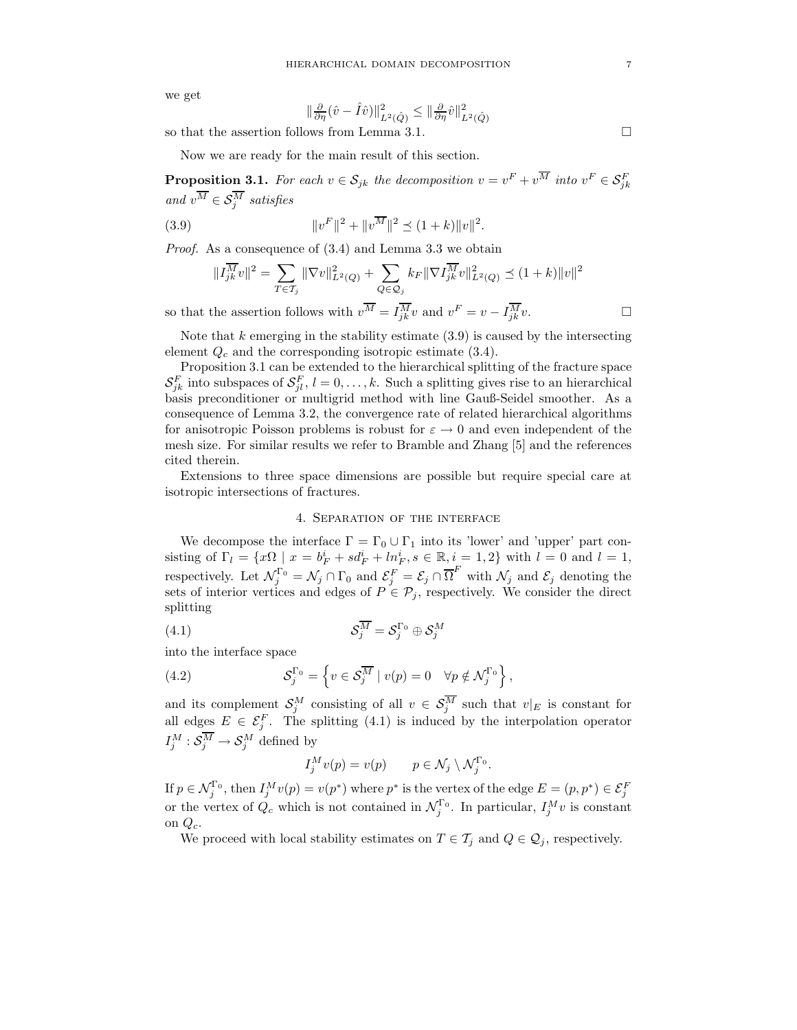we get

$$
\|\frac{\partial}{\partial \eta}(\hat{v} - \hat{I}\hat{v})\|_{L^2(\hat{Q})}^2 \le \|\frac{\partial}{\partial \eta}\hat{v}\|_{L^2(\hat{Q})}^2
$$

so that the assertion follows from Lemma 3.1.

Now we are ready for the main result of this section.

**Proposition 3.1.** For each  $v \in S_{jk}$  the decomposition  $v = v^F + v^M$  into  $v^F \in S_{jk}^F$ *and*  $v^M \in \mathcal{S}_j^M$  *satisfies* 

(3.9) 
$$
||v^F||^2 + ||v^{\overline{M}}||^2 \le (1+k)||v||^2.
$$

*Proof.* As a consequence of (3.4) and Lemma 3.3 we obtain

$$
||I_{jk}^{\overline{M}}v||^2 = \sum_{T \in \mathcal{T}_j} ||\nabla v||^2_{L^2(Q)} + \sum_{Q \in \mathcal{Q}_j} k_F ||\nabla I_{jk}^{\overline{M}}v||^2_{L^2(Q)} \preceq (1+k) ||v||^2
$$

so that the assertion follows with  $v^M = I_{jk}^M v$  and  $v^F = v - I_{jk}^M v$ .

Note that  $k$  emerging in the stability estimate  $(3.9)$  is caused by the intersecting element  $Q_c$  and the corresponding isotropic estimate (3.4).

Proposition 3.1 can be extended to the hierarchical splitting of the fracture space  $\mathcal{S}_{jk}^F$  into subspaces of  $\mathcal{S}_{jl}^F$ ,  $l = 0, \ldots, k$ . Such a splitting gives rise to an hierarchical basis preconditioner or multigrid method with line Gauß-Seidel smoother. As a consequence of Lemma 3.2, the convergence rate of related hierarchical algorithms for anisotropic Poisson problems is robust for  $\varepsilon \to 0$  and even independent of the mesh size. For similar results we refer to Bramble and Zhang [5] and the references cited therein.

Extensions to three space dimensions are possible but require special care at isotropic intersections of fractures.

## 4. Separation of the interface

We decompose the interface  $\Gamma = \Gamma_0 \cup \Gamma_1$  into its 'lower' and 'upper' part consisting of  $\Gamma_l = \{x\Omega \mid x = b_F^i + s d_F^i + l n_F^i, s \in \mathbb{R}, i = 1, 2\}$  with  $l = 0$  and  $l = 1$ , respectively. Let  $\mathcal{N}_j^{\Gamma_0} = \mathcal{N}_j \cap \Gamma_0$  and  $\mathcal{E}_j^F = \mathcal{E}_j \cap \overline{\Omega}^F$  with  $\mathcal{N}_j$  and  $\mathcal{E}_j$  denoting the sets of interior vertices and edges of  $P \in \mathcal{P}_j$ , respectively. We consider the direct splitting

$$
(4.1) \t\t\t \t\t\t \t\t\t S_j^{\overline{M}} = S_j^{\Gamma_0} \oplus S_j^{\overline{M}}
$$

into the interface space

(4.2) 
$$
\mathcal{S}_j^{\Gamma_0} = \left\{ v \in \mathcal{S}_j^{\overline{M}} \mid v(p) = 0 \quad \forall p \notin \mathcal{N}_j^{\Gamma_0} \right\},
$$

and its complement  $S_j^M$  consisting of all  $v \in S_j^M$  such that  $v|_E$  is constant for all edges  $E \in \mathcal{E}_{j}^{F}$ . The splitting (4.1) is induced by the interpolation operator  $I_j^M : \mathcal{S}_j^M \to \mathcal{S}_j^M$  defined by

$$
I_j^M v(p) = v(p) \qquad p \in \mathcal{N}_j \setminus \mathcal{N}_j^{\Gamma_0}.
$$

If  $p \in \mathcal{N}_j^{\Gamma_0}$ , then  $I_j^M v(p) = v(p^*)$  where  $p^*$  is the vertex of the edge  $E = (p, p^*) \in \mathcal{E}_j^F$ or the vertex of  $Q_c$  which is not contained in  $\mathcal{N}_j^{\Gamma_0}$ . In particular,  $I_j^M v$  is constant on  $Q_c$ .

We proceed with local stability estimates on  $T \in \mathcal{T}_j$  and  $Q \in \mathcal{Q}_j$ , respectively.

 $\Box$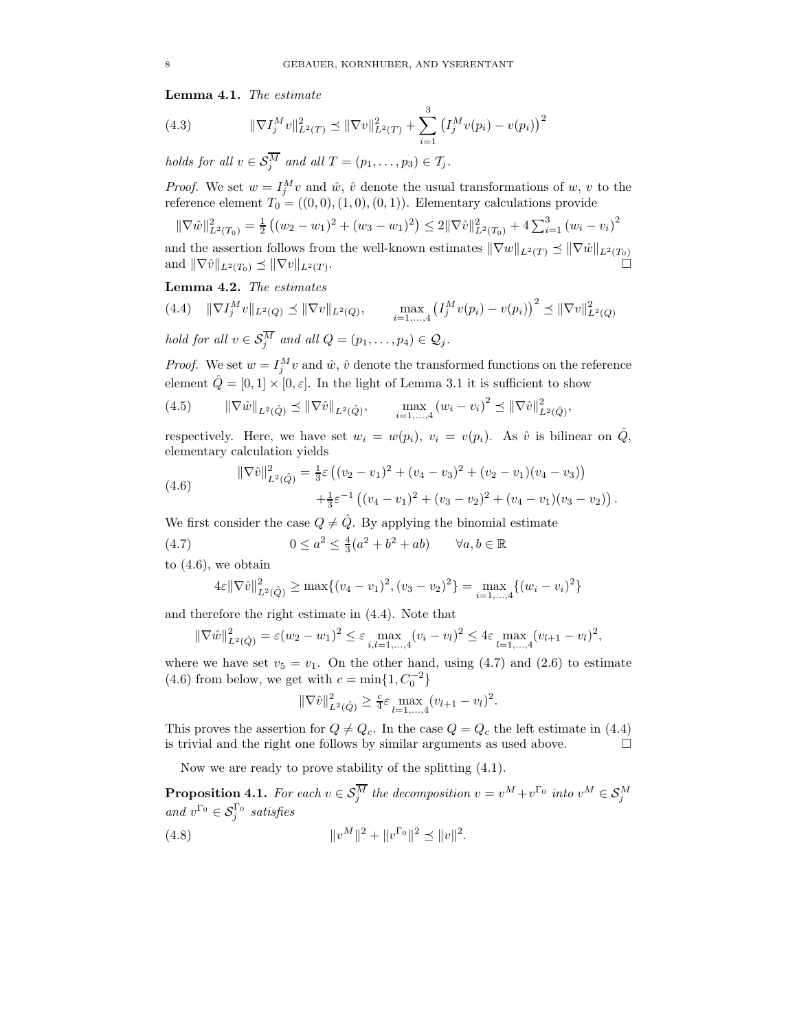**Lemma 4.1.** *The estimate*

(4.3) 
$$
\|\nabla I_j^M v\|_{L^2(T)}^2 \preceq \|\nabla v\|_{L^2(T)}^2 + \sum_{i=1}^3 \left(I_j^M v(p_i) - v(p_i)\right)^2
$$

*holds for all*  $v \in S_j^M$  *and all*  $T = (p_1, \ldots, p_3) \in T_j$ *.* 

*Proof.* We set  $w = I_j^M v$  and  $\hat{w}$ ,  $\hat{v}$  denote the usual transformations of w, v to the reference element  $T_0 = ((0,0), (1,0), (0,1))$ . Elementary calculations provide

$$
\|\nabla \hat{w}\|_{L^2(T_0)}^2 = \frac{1}{2} \left( (w_2 - w_1)^2 + (w_3 - w_1)^2 \right) \le 2\|\nabla \hat{v}\|_{L^2(T_0)}^2 + 4\sum_{i=1}^3 (w_i - v_i)^2
$$

and the assertion follows from the well-known estimates  $\|\nabla w\|_{L^2(T)} \preceq \|\nabla \hat{w}\|_{L^2(T_0)}$ and  $\|\nabla \hat{v}\|_{L^2(T_0)} \preceq \|\nabla v\|_{L^2(T)}$ .

**Lemma 4.2.** *The estimates*

$$
(4.4) \quad \|\nabla I_j^M v\|_{L^2(Q)} \preceq \|\nabla v\|_{L^2(Q)}, \qquad \max_{i=1,\dots,4} \left(I_j^M v(p_i) - v(p_i)\right)^2 \preceq \|\nabla v\|_{L^2(Q)}^2
$$

*hold for all*  $v \in S_j^M$  *and all*  $Q = (p_1, \ldots, p_4) \in Q_j$ *.* 

*Proof.* We set  $w = I_j^M v$  and  $\hat{w}$ ,  $\hat{v}$  denote the transformed functions on the reference element  $\hat{Q} = [0, 1] \times [0, \varepsilon]$ . In the light of Lemma 3.1 it is sufficient to show

(4.5) 
$$
\|\nabla \hat{w}\|_{L^2(\hat{Q})} \preceq \|\nabla \hat{v}\|_{L^2(\hat{Q})}, \qquad \max_{i=1,\dots,4} (w_i - v_i)^2 \preceq \|\nabla \hat{v}\|_{L^2(\hat{Q})}^2,
$$

respectively. Here, we have set  $w_i = w(p_i)$ ,  $v_i = v(p_i)$ . As  $\hat{v}$  is bilinear on  $\hat{Q}$ , elementary calculation yields

(4.6) 
$$
\|\nabla \hat{v}\|_{L^2(\hat{Q})}^2 = \frac{1}{3}\varepsilon \left( (v_2 - v_1)^2 + (v_4 - v_3)^2 + (v_2 - v_1)(v_4 - v_3) \right) + \frac{1}{3}\varepsilon^{-1} \left( (v_4 - v_1)^2 + (v_3 - v_2)^2 + (v_4 - v_1)(v_3 - v_2) \right).
$$

We first consider the case  $Q \neq \hat{Q}$ . By applying the binomial estimate

(4.7) 
$$
0 \le a^2 \le \frac{4}{3}(a^2 + b^2 + ab) \qquad \forall a, b \in \mathbb{R}
$$

to  $(4.6)$ , we obtain

$$
4\varepsilon \|\nabla \hat{v}\|_{L^2(\hat{Q})}^2 \ge \max\{(v_4 - v_1)^2, (v_3 - v_2)^2\} = \max_{i=1,\dots,4} \{(w_i - v_i)^2\}
$$

and therefore the right estimate in (4.4). Note that

$$
\|\nabla \hat{w}\|_{L^2(\hat{Q})}^2 = \varepsilon (w_2 - w_1)^2 \le \varepsilon \max_{i,l=1,\dots,4} (v_i - v_l)^2 \le 4\varepsilon \max_{l=1,\dots,4} (v_{l+1} - v_l)^2,
$$

where we have set  $v_5 = v_1$ . On the other hand, using (4.7) and (2.6) to estimate (4.6) from below, we get with  $c = \min\{1, C_0^{-2}\}\$ 

$$
\|\nabla \hat{v}\|_{L^2(\hat{Q})}^2 \ge \frac{c}{4}\varepsilon \max_{l=1,\dots,4} (v_{l+1} - v_l)^2.
$$

This proves the assertion for  $Q \neq Q_c$ . In the case  $Q = Q_c$  the left estimate in (4.4) is trivial and the right one follows by similar arguments as used above.  $\Box$ 

Now we are ready to prove stability of the splitting (4.1).

**Proposition 4.1.** *For each*  $v \in \mathcal{S}_j^M$  *the decomposition*  $v = v^M + v^{\Gamma_0}$  *into*  $v^M \in \mathcal{S}_j^M$  $and v^{\Gamma_0} \in \mathcal{S}_j^{\Gamma_0}$  *satisfies* 

(4.8) 
$$
||v^M||^2 + ||v^{\Gamma_0}||^2 \preceq ||v||^2.
$$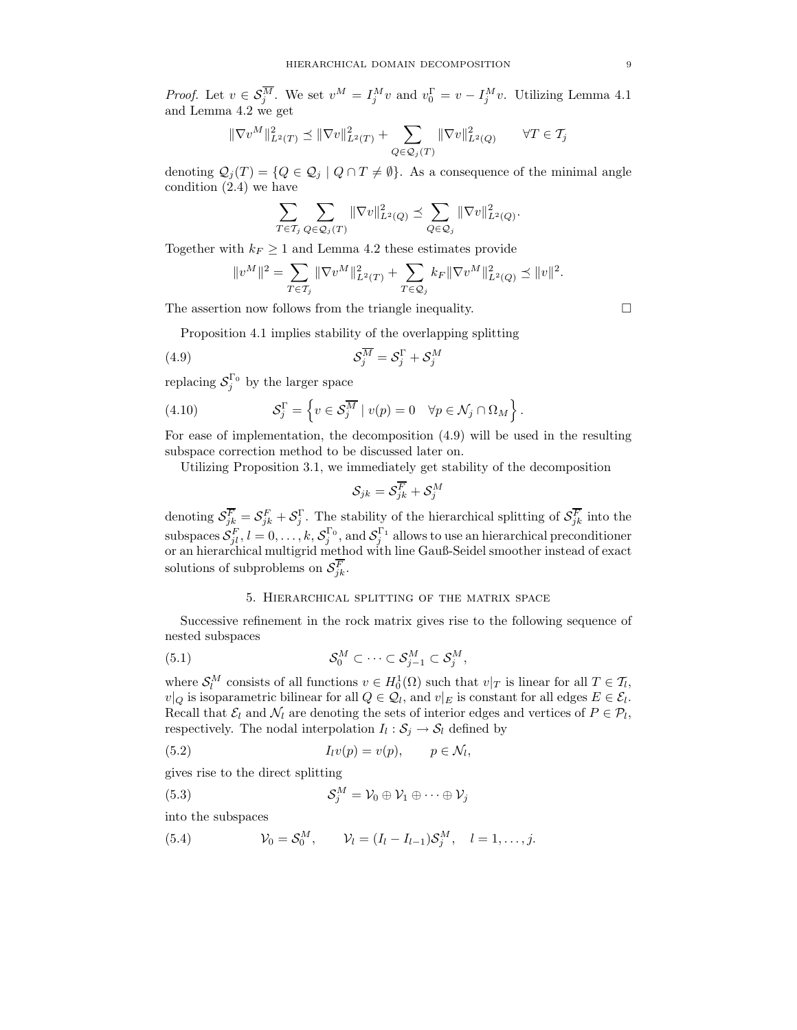*Proof.* Let  $v \in \mathcal{S}_{j}^{M}$ . We set  $v^{M} = I_{j}^{M}v$  and  $v_{0}^{\Gamma} = v - I_{j}^{M}v$ . Utilizing Lemma 4.1 and Lemma 4.2 we get

$$
\|\nabla v^M\|_{L^2(T)}^2 \le \|\nabla v\|_{L^2(T)}^2 + \sum_{Q \in \mathcal{Q}_j(T)} \|\nabla v\|_{L^2(Q)}^2 \qquad \forall T \in \mathcal{T}_j
$$

denoting  $\mathcal{Q}_i(T) = \{Q \in \mathcal{Q}_i \mid Q \cap T \neq \emptyset\}$ . As a consequence of the minimal angle condition  $(2.4)$  we have

$$
\sum_{T\in \mathcal{T}_j}\sum_{Q\in \mathcal{Q}_j(T)} \|\nabla v\|_{L^2(Q)}^2 \preceq \sum_{Q\in \mathcal{Q}_j} \|\nabla v\|_{L^2(Q)}^2.
$$

Together with  $k_F \geq 1$  and Lemma 4.2 these estimates provide

$$
\|v^M\|^2 = \sum_{T\in \mathcal{T}_j} \|\nabla v^M\|_{L^2(T)}^2 + \sum_{T\in \mathcal{Q}_j} k_F \|\nabla v^M\|_{L^2(Q)}^2 \preceq \|v\|^2.
$$

The assertion now follows from the triangle inequality.

Proposition 4.1 implies stability of the overlapping splitting

(4.9) 
$$
\mathcal{S}_j^{\overline{M}} = \mathcal{S}_j^{\Gamma} + \mathcal{S}_j^{M}
$$

replacing  $S_j^{\Gamma_0}$  by the larger space

(4.10) 
$$
\mathcal{S}_j^{\Gamma} = \left\{ v \in \mathcal{S}_j^{\overline{M}} \mid v(p) = 0 \quad \forall p \in \mathcal{N}_j \cap \Omega_M \right\}.
$$

For ease of implementation, the decomposition (4.9) will be used in the resulting subspace correction method to be discussed later on.

Utilizing Proposition 3.1, we immediately get stability of the decomposition

$$
\mathcal{S}_{jk} = \mathcal{S}^{\overline{F}}_{jk} + \mathcal{S}^M_j
$$

denoting  $S_{jk}^F = S_{jk}^F + S_j^{\Gamma}$ . The stability of the hierarchical splitting of  $S_{jk}^F$  into the subspaces  $\mathcal{S}_{jl}^F, l = 0, \ldots, k, \mathcal{S}_j^{\Gamma_0}$ , and  $\mathcal{S}_j^{\Gamma_1}$  allows to use an hierarchical preconditioner or an hierarchical multigrid method with line Gauß-Seidel smoother instead of exact solutions of subproblems on  $\mathcal{S}_{jk}^F$ .

# 5. Hierarchical splitting of the matrix space

Successive refinement in the rock matrix gives rise to the following sequence of nested subspaces

(5.1) 
$$
\mathcal{S}_0^M \subset \cdots \subset \mathcal{S}_{j-1}^M \subset \mathcal{S}_j^M,
$$

where  $S_l^M$  consists of all functions  $v \in H_0^1(\Omega)$  such that  $v|_T$  is linear for all  $T \in \mathcal{T}_l$ ,  $v|_Q$  is isoparametric bilinear for all  $Q \in \mathcal{Q}_l$ , and  $v|_E$  is constant for all edges  $E \in \mathcal{E}_l$ . Recall that  $\mathcal{E}_l$  and  $\mathcal{N}_l$  are denoting the sets of interior edges and vertices of  $P \in \mathcal{P}_l$ , respectively. The nodal interpolation  $I_l : S_j \to S_l$  defined by

(5.2) 
$$
I_l v(p) = v(p), \qquad p \in \mathcal{N}_l,
$$

gives rise to the direct splitting

(5.3) 
$$
\mathcal{S}_j^M = \mathcal{V}_0 \oplus \mathcal{V}_1 \oplus \cdots \oplus \mathcal{V}_j
$$

into the subspaces

(5.4)  $\mathcal{V}_0 = \mathcal{S}_0^M$ ,  $\mathcal{V}_l = (I_l - I_{l-1})\mathcal{S}_j^M$ ,  $l = 1, ..., j$ .

 $\Box$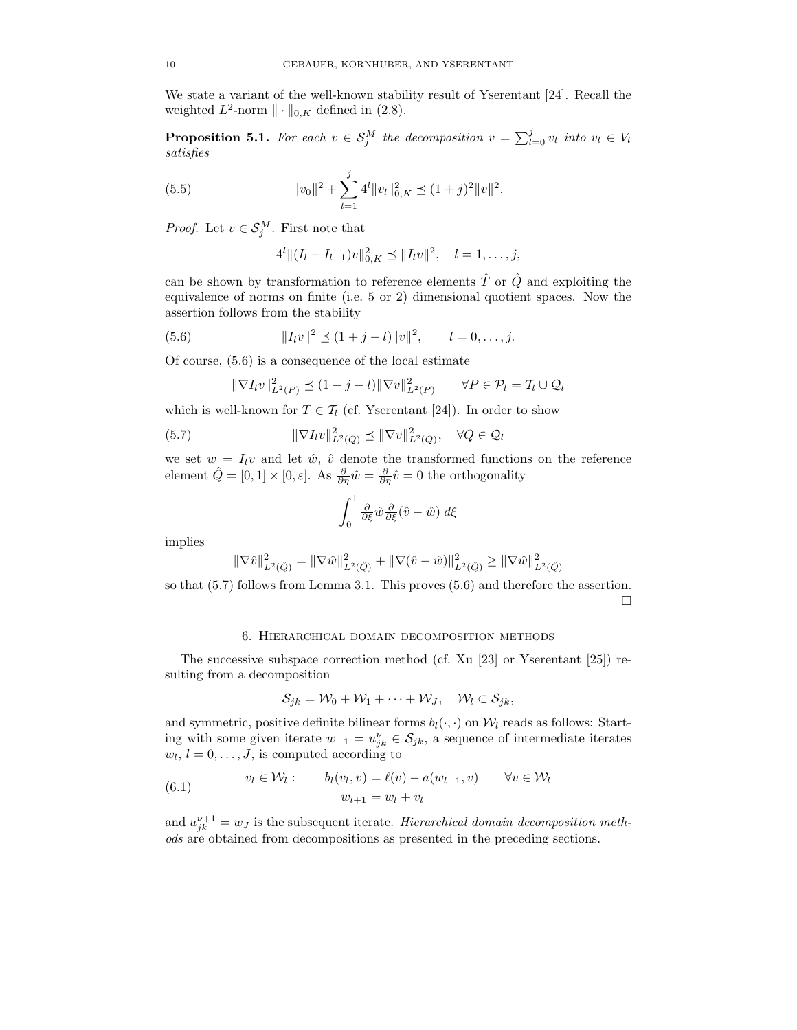We state a variant of the well-known stability result of Yserentant [24]. Recall the weighted  $L^2$ -norm  $\|\cdot\|_{0,K}$  defined in (2.8).

**Proposition 5.1.** *For each*  $v \in S_j^M$  *the decomposition*  $v = \sum_{l=0}^j v_l$  *into*  $v_l \in V_l$ *satisfies*

(5.5) 
$$
||v_0||^2 + \sum_{l=1}^j 4^l ||v_l||_{0,K}^2 \preceq (1+j)^2 ||v||^2.
$$

*Proof.* Let  $v \in \mathcal{S}_j^M$ . First note that

$$
4^{l} \|(I_{l}-I_{l-1})v\|_{0,K}^{2} \leq \|I_{l}v\|^{2}, \quad l=1,\ldots,j,
$$

can be shown by transformation to reference elements  $\hat{T}$  or  $\hat{Q}$  and exploiting the equivalence of norms on finite (i.e. 5 or 2) dimensional quotient spaces. Now the assertion follows from the stability

(5.6) 
$$
||I_l v||^2 \le (1+j-l) ||v||^2, \qquad l=0,\ldots,j.
$$

Of course, (5.6) is a consequence of the local estimate

$$
\|\nabla I_l v\|_{L^2(P)}^2 \preceq (1+j-l) \|\nabla v\|_{L^2(P)}^2 \qquad \forall P \in \mathcal{P}_l = \mathcal{T}_l \cup \mathcal{Q}_l
$$

which is well-known for  $T \in \mathcal{T}_l$  (cf. Yserentant [24]). In order to show

(5.7) 
$$
\|\nabla I_l v\|_{L^2(Q)}^2 \preceq \|\nabla v\|_{L^2(Q)}^2, \quad \forall Q \in \mathcal{Q}_l
$$

we set  $w = I_l v$  and let  $\hat{w}, \hat{v}$  denote the transformed functions on the reference element  $\hat{Q} = [0, 1] \times [0, \varepsilon]$ . As  $\frac{\partial}{\partial \eta} \hat{w} = \frac{\partial}{\partial \eta} \hat{v} = 0$  the orthogonality

$$
\int_0^1 \frac{\partial}{\partial \xi} \hat{w} \frac{\partial}{\partial \xi} (\hat{v} - \hat{w}) \, d\xi
$$

implies

$$
\|\nabla \hat{v}\|_{L^2(\hat{Q})}^2 = \|\nabla \hat{w}\|_{L^2(\hat{Q})}^2 + \|\nabla (\hat{v} - \hat{w})\|_{L^2(\hat{Q})}^2 \ge \|\nabla \hat{w}\|_{L^2(\hat{Q})}^2
$$

so that (5.7) follows from Lemma 3.1. This proves (5.6) and therefore the assertion.

 $\Box$ 

# 6. Hierarchical domain decomposition methods

The successive subspace correction method (cf. Xu [23] or Yserentant [25]) resulting from a decomposition

$$
\mathcal{S}_{jk}=\mathcal{W}_0+\mathcal{W}_1+\cdots+\mathcal{W}_J, \quad \mathcal{W}_l\subset \mathcal{S}_{jk},
$$

and symmetric, positive definite bilinear forms  $b_l(\cdot, \cdot)$  on  $\mathcal{W}_l$  reads as follows: Starting with some given iterate  $w_{-1} = u_{jk}^{\nu} \in \mathcal{S}_{jk}$ , a sequence of intermediate iterates  $w_l, l = 0, \ldots, J$ , is computed according to

(6.1) 
$$
v_l \in \mathcal{W}_l: \qquad b_l(v_l, v) = \ell(v) - a(w_{l-1}, v) \qquad \forall v \in \mathcal{W}_l
$$

$$
w_{l+1} = w_l + v_l
$$

and  $u_{jk}^{\nu+1} = w_j$  is the subsequent iterate. *Hierarchical domain decomposition methods* are obtained from decompositions as presented in the preceding sections.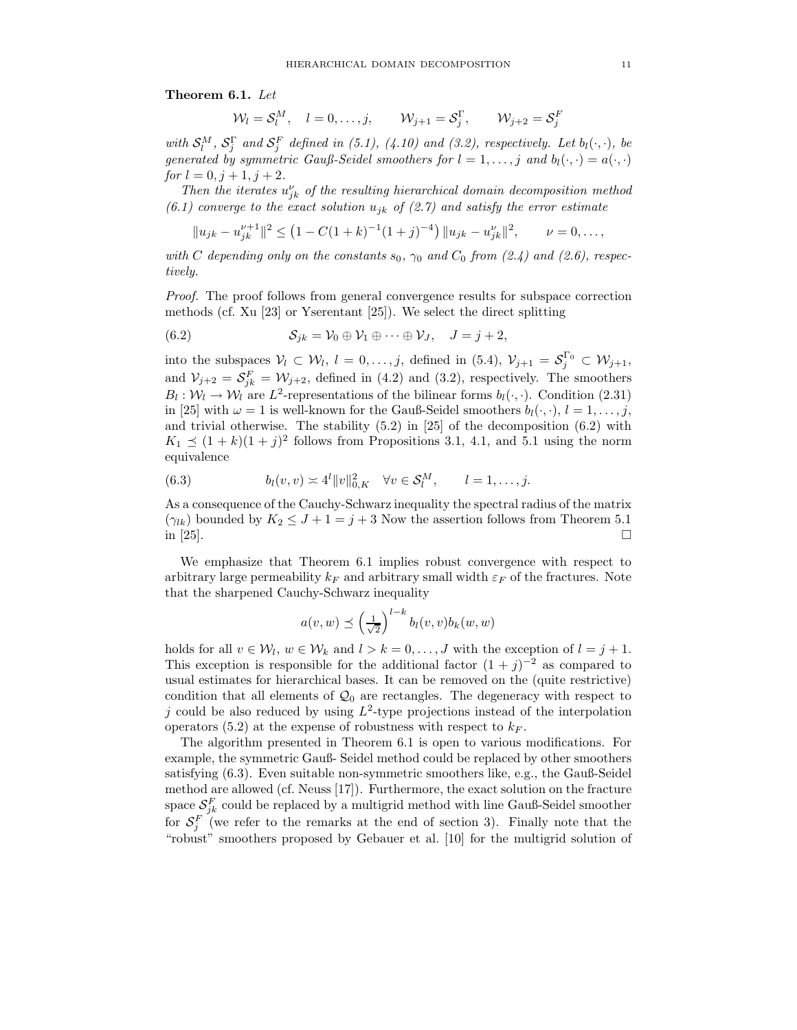**Theorem 6.1.** *Let*

$$
\mathcal{W}_l = \mathcal{S}_l^M, \quad l = 0, \dots, j, \qquad \mathcal{W}_{j+1} = \mathcal{S}_j^{\Gamma}, \qquad \mathcal{W}_{j+2} = \mathcal{S}_j^F
$$

with  $S_l^M$ ,  $S_j^{\Gamma}$  and  $S_j^F$  defined in (5.1), (4.10) and (3.2), respectively. Let  $b_l(\cdot, \cdot)$ , be *generated by symmetric Gauß-Seidel smoothers for*  $l = 1, \ldots, j$  *and*  $b_l(\cdot, \cdot) = a(\cdot, \cdot)$ *for*  $l = 0, j + 1, j + 2$ *.* 

*Then the iterates*  $u_{jk}^{\nu}$  *of the resulting hierarchical domain decomposition method*  $(6.1)$  converge to the exact solution  $u_{jk}$  of  $(2.7)$  and satisfy the error estimate

$$
||u_{jk} - u_{jk}^{\nu+1}||^2 \le (1 - C(1+k)^{-1}(1+j)^{-4}) ||u_{jk} - u_{jk}^{\nu}||^2, \qquad \nu = 0, \ldots,
$$

*with* C depending only on the constants  $s_0$ ,  $\gamma_0$  and  $C_0$  from (2.4) and (2.6), respec*tively.*

*Proof.* The proof follows from general convergence results for subspace correction methods (cf. Xu [23] or Yserentant [25]). We select the direct splitting

(6.2)  $S_{jk} = V_0 \oplus V_1 \oplus \cdots \oplus V_J, \quad J = j + 2,$ 

into the subspaces  $V_l \subset W_l$ ,  $l = 0, \ldots, j$ , defined in (5.4),  $V_{j+1} = S_j^{\Gamma_0} \subset W_{j+1}$ , and  $V_{j+2} = S_{jk}^F = W_{j+2}$ , defined in (4.2) and (3.2), respectively. The smoothers  $B_l : \mathcal{W}_l \to \mathcal{W}_l$  are  $L^2$ -representations of the bilinear forms  $b_l(\cdot, \cdot)$ . Condition (2.31) in [25] with  $\omega = 1$  is well-known for the Gauß-Seidel smoothers  $b_l(\cdot, \cdot)$ ,  $l = 1, \ldots, j$ , and trivial otherwise. The stability  $(5.2)$  in  $[25]$  of the decomposition  $(6.2)$  with  $K_1 \preceq (1 + k)(1 + j)^2$  follows from Propositions 3.1, 4.1, and 5.1 using the norm equivalence

(6.3) 
$$
b_l(v, v) \asymp 4^l \|v\|_{0, K}^2 \quad \forall v \in \mathcal{S}_l^M, \qquad l = 1, ..., j.
$$

As a consequence of the Cauchy-Schwarz inequality the spectral radius of the matrix  $(\gamma_{lk})$  bounded by  $K_2 \leq J+1=j+3$  Now the assertion follows from Theorem 5.1 in [25]. in [25].  $\Box$ 

We emphasize that Theorem 6.1 implies robust convergence with respect to arbitrary large permeability  $k_F$  and arbitrary small width  $\varepsilon_F$  of the fractures. Note that the sharpened Cauchy-Schwarz inequality

$$
a(v, w) \preceq \left(\frac{1}{\sqrt{2}}\right)^{l-k} b_l(v, v) b_k(w, w)
$$

holds for all  $v \in \mathcal{W}_l$ ,  $w \in \mathcal{W}_k$  and  $l > k = 0, \ldots, J$  with the exception of  $l = j + 1$ . This exception is responsible for the additional factor  $(1 + j)^{-2}$  as compared to usual estimates for hierarchical bases. It can be removed on the (quite restrictive) condition that all elements of  $\mathcal{Q}_0$  are rectangles. The degeneracy with respect to j could be also reduced by using  $L^2$ -type projections instead of the interpolation operators (5.2) at the expense of robustness with respect to  $k_F$ .

The algorithm presented in Theorem 6.1 is open to various modifications. For example, the symmetric Gauß- Seidel method could be replaced by other smoothers satisfying (6.3). Even suitable non-symmetric smoothers like, e.g., the Gauß-Seidel method are allowed (cf. Neuss [17]). Furthermore, the exact solution on the fracture space  $S_{jk}^F$  could be replaced by a multigrid method with line Gauß-Seidel smoother for  $S_j^F$  (we refer to the remarks at the end of section 3). Finally note that the "robust" smoothers proposed by Gebauer et al. [10] for the multigrid solution of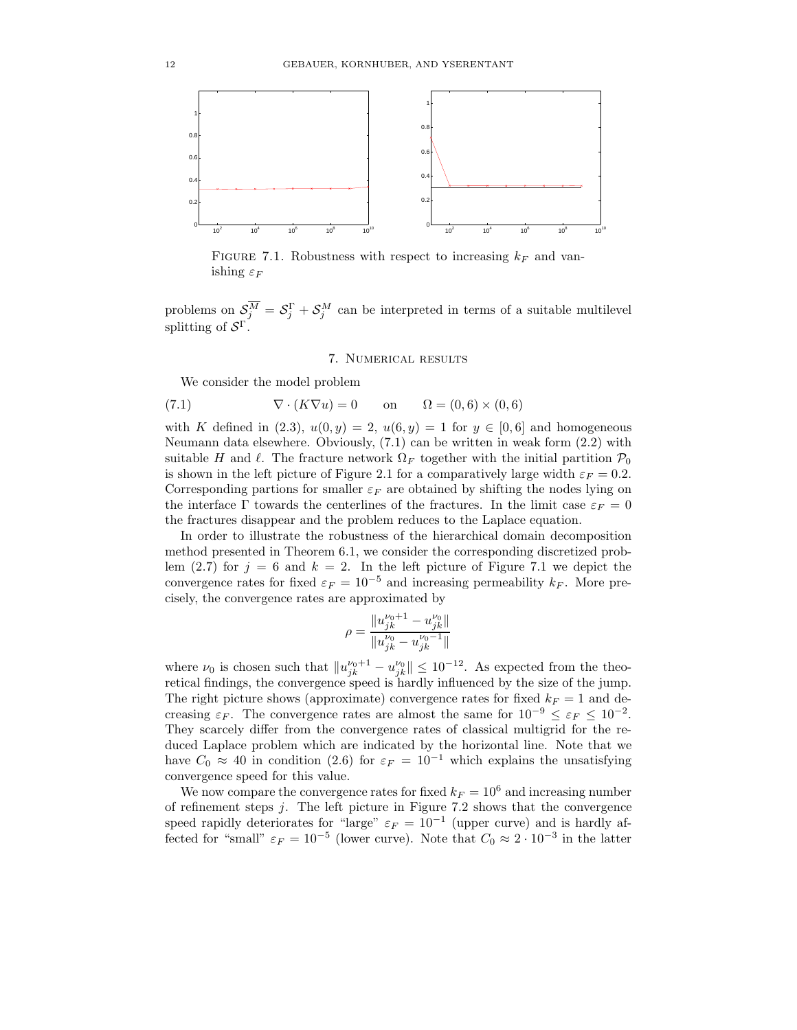

FIGURE 7.1. Robustness with respect to increasing  $k_F$  and vanishing  $\varepsilon_F$ 

problems on  $S_j^M = S_j^{\Gamma} + S_j^M$  can be interpreted in terms of a suitable multilevel splitting of  $S^{\Gamma}$ .

## 7. Numerical results

We consider the model problem

(7.1) 
$$
\nabla \cdot (K\nabla u) = 0 \quad \text{on} \quad \Omega = (0,6) \times (0,6)
$$

with K defined in (2.3),  $u(0, y) = 2$ ,  $u(6, y) = 1$  for  $y \in [0, 6]$  and homogeneous Neumann data elsewhere. Obviously, (7.1) can be written in weak form (2.2) with suitable H and  $\ell$ . The fracture network  $\Omega_F$  together with the initial partition  $\mathcal{P}_0$ is shown in the left picture of Figure 2.1 for a comparatively large width  $\varepsilon_F = 0.2$ . Corresponding partions for smaller  $\varepsilon_F$  are obtained by shifting the nodes lying on the interface  $\Gamma$  towards the centerlines of the fractures. In the limit case  $\varepsilon_F = 0$ the fractures disappear and the problem reduces to the Laplace equation.

In order to illustrate the robustness of the hierarchical domain decomposition method presented in Theorem 6.1, we consider the corresponding discretized problem (2.7) for  $j = 6$  and  $k = 2$ . In the left picture of Figure 7.1 we depict the convergence rates for fixed  $\varepsilon_F = 10^{-5}$  and increasing permeability  $k_F$ . More precisely, the convergence rates are approximated by

$$
\rho = \frac{\|u_{jk}^{\nu_0+1}-u_{jk}^{\nu_0}\|}{\|u_{jk}^{\nu_0}-u_{jk}^{\nu_0-1}\|}
$$

where  $\nu_0$  is chosen such that  $||u_{jk}^{\nu_0+1} - u_{jk}^{\nu_0}|| \leq 10^{-12}$ . As expected from the theoretical findings, the convergence speed is hardly influenced by the size of the jump. The right picture shows (approximate) convergence rates for fixed  $k_F = 1$  and decreasing  $\varepsilon_F$ . The convergence rates are almost the same for  $10^{-9} \leq \varepsilon_F \leq 10^{-2}$ . They scarcely differ from the convergence rates of classical multigrid for the reduced Laplace problem which are indicated by the horizontal line. Note that we have  $C_0 \approx 40$  in condition (2.6) for  $\varepsilon_F = 10^{-1}$  which explains the unsatisfying convergence speed for this value.

We now compare the convergence rates for fixed  $k_F = 10^6$  and increasing number of refinement steps j. The left picture in Figure 7.2 shows that the convergence speed rapidly deteriorates for "large"  $\varepsilon_F = 10^{-1}$  (upper curve) and is hardly affected for "small"  $\varepsilon_F = 10^{-5}$  (lower curve). Note that  $C_0 \approx 2 \cdot 10^{-3}$  in the latter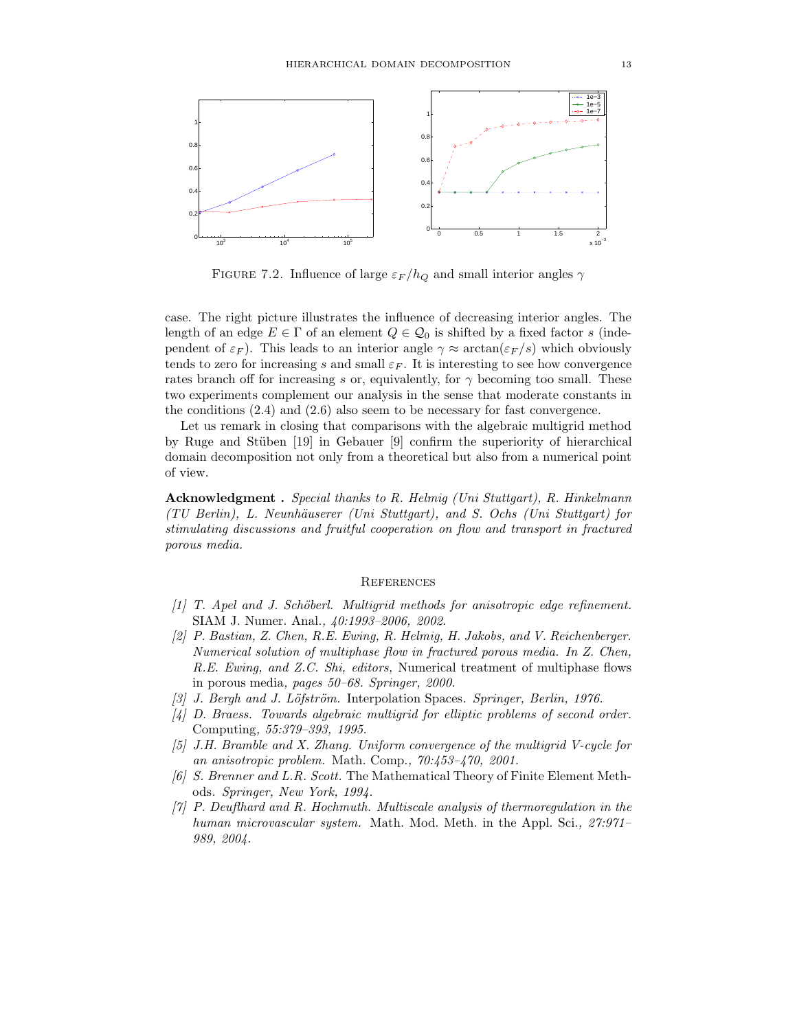

FIGURE 7.2. Influence of large  $\varepsilon_F/h_Q$  and small interior angles  $\gamma$ 

case. The right picture illustrates the influence of decreasing interior angles. The length of an edge  $E \in \Gamma$  of an element  $Q \in \mathcal{Q}_0$  is shifted by a fixed factor s (independent of  $\varepsilon_F$ ). This leads to an interior angle  $\gamma \approx \arctan(\varepsilon_F/s)$  which obviously tends to zero for increasing s and small  $\varepsilon_F$ . It is interesting to see how convergence rates branch off for increasing s or, equivalently, for  $\gamma$  becoming too small. These two experiments complement our analysis in the sense that moderate constants in the conditions (2.4) and (2.6) also seem to be necessary for fast convergence.

Let us remark in closing that comparisons with the algebraic multigrid method by Ruge and St¨uben [19] in Gebauer [9] confirm the superiority of hierarchical domain decomposition not only from a theoretical but also from a numerical point of view.

**Acknowledgment .** *Special thanks to R. Helmig (Uni Stuttgart), R. Hinkelmann (TU Berlin), L. Neunh¨auserer (Uni Stuttgart), and S. Ochs (Uni Stuttgart) for stimulating discussions and fruitful cooperation on flow and transport in fractured porous media.*

#### **REFERENCES**

- *[1] T. Apel and J. Sch¨oberl. Multigrid methods for anisotropic edge refinement.* SIAM J. Numer. Anal.*, 40:1993–2006, 2002.*
- *[2] P. Bastian, Z. Chen, R.E. Ewing, R. Helmig, H. Jakobs, and V. Reichenberger. Numerical solution of multiphase flow in fractured porous media. In Z. Chen, R.E. Ewing, and Z.C. Shi, editors,* Numerical treatment of multiphase flows in porous media*, pages 50–68. Springer, 2000.*
- *[3] J. Bergh and J. L¨ofstr¨om.* Interpolation Spaces*. Springer, Berlin, 1976.*
- *[4] D. Braess. Towards algebraic multigrid for elliptic problems of second order.* Computing*, 55:379–393, 1995.*
- *[5] J.H. Bramble and X. Zhang. Uniform convergence of the multigrid V-cycle for an anisotropic problem.* Math. Comp.*, 70:453–470, 2001.*
- *[6] S. Brenner and L.R. Scott.* The Mathematical Theory of Finite Element Methods*. Springer, New York, 1994.*
- *[7] P. Deuflhard and R. Hochmuth. Multiscale analysis of thermoregulation in the human microvascular system.* Math. Mod. Meth. in the Appl. Sci.*, 27:971– 989, 2004.*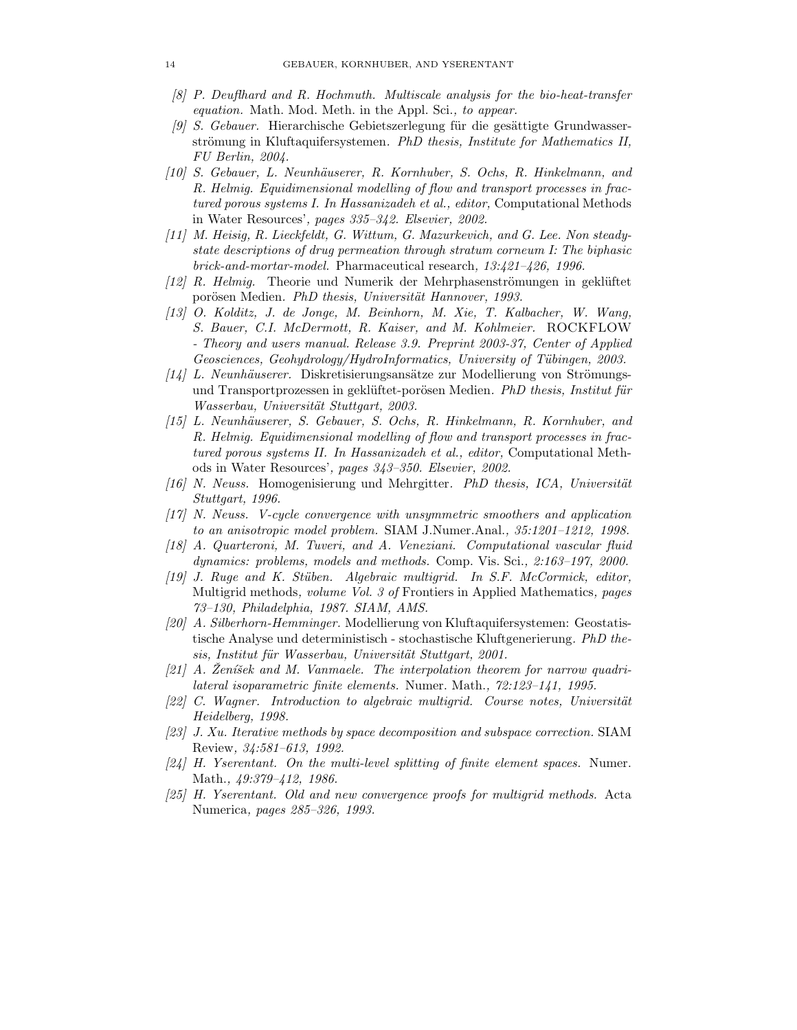- *[8] P. Deuflhard and R. Hochmuth. Multiscale analysis for the bio-heat-transfer equation.* Math. Mod. Meth. in the Appl. Sci.*, to appear.*
- <sup>[9]</sup> S. Gebauer. Hierarchische Gebietszerlegung für die gesättigte Grundwasserströmung in Kluftaquifersystemen. PhD thesis, Institute for Mathematics II, *FU Berlin, 2004.*
- *[10] S. Gebauer, L. Neunh¨auserer, R. Kornhuber, S. Ochs, R. Hinkelmann, and R. Helmig. Equidimensional modelling of flow and transport processes in fractured porous systems I. In Hassanizadeh et al., editor,* Computational Methods in Water Resources'*, pages 335–342. Elsevier, 2002.*
- *[11] M. Heisig, R. Lieckfeldt, G. Wittum, G. Mazurkevich, and G. Lee. Non steadystate descriptions of drug permeation through stratum corneum I: The biphasic brick-and-mortar-model.* Pharmaceutical research*, 13:421–426, 1996.*
- *[12] R. Helmig.* Theorie und Numerik der Mehrphasenströmungen in geklüftet porösen Medien. *PhD thesis, Universität Hannover, 1993.*
- *[13] O. Kolditz, J. de Jonge, M. Beinhorn, M. Xie, T. Kalbacher, W. Wang, S. Bauer, C.I. McDermott, R. Kaiser, and M. Kohlmeier.* ROCKFLOW *- Theory and users manual. Release 3.9. Preprint 2003-37, Center of Applied Geosciences, Geohydrology/HydroInformatics, University of Tübingen, 2003.*
- *[14] L. Neunhäuserer.* Diskretisierungsansätze zur Modellierung von Strömungsund Transportprozessen in geklüftet-porösen Medien. PhD thesis, Institut für *Wasserbau, Universit¨at Stuttgart, 2003.*
- *[15] L. Neunh¨auserer, S. Gebauer, S. Ochs, R. Hinkelmann, R. Kornhuber, and R. Helmig. Equidimensional modelling of flow and transport processes in fractured porous systems II. In Hassanizadeh et al., editor,* Computational Methods in Water Resources'*, pages 343–350. Elsevier, 2002.*
- *[16] N. Neuss.* Homogenisierung und Mehrgitter*. PhD thesis, ICA, Universit¨at Stuttgart, 1996.*
- *[17] N. Neuss. V-cycle convergence with unsymmetric smoothers and application to an anisotropic model problem.* SIAM J.Numer.Anal.*, 35:1201–1212, 1998.*
- *[18] A. Quarteroni, M. Tuveri, and A. Veneziani. Computational vascular fluid dynamics: problems, models and methods.* Comp. Vis. Sci.*, 2:163–197, 2000.*
- *[19] J. Ruge and K. St¨uben. Algebraic multigrid. In S.F. McCormick, editor,* Multigrid methods*, volume Vol. 3 of* Frontiers in Applied Mathematics*, pages 73–130, Philadelphia, 1987. SIAM, AMS.*
- *[20] A. Silberhorn-Hemminger.* Modellierung von Kluftaquifersystemen: Geostatistische Analyse und deterministisch - stochastische Kluftgenerierung*. PhD the* $sis, Institut für Wasserbau, Universität Stuttgart, 2001.$
- [21] A. Zeníšek and M. Vanmaele. The interpolation theorem for narrow quadri*lateral isoparametric finite elements.* Numer. Math.*, 72:123–141, 1995.*
- [22] C. Wagner. Introduction to algebraic multigrid. Course notes, Universität *Heidelberg, 1998.*
- *[23] J. Xu. Iterative methods by space decomposition and subspace correction.* SIAM Review*, 34:581–613, 1992.*
- *[24] H. Yserentant. On the multi-level splitting of finite element spaces.* Numer. Math.*, 49:379–412, 1986.*
- *[25] H. Yserentant. Old and new convergence proofs for multigrid methods.* Acta Numerica*, pages 285–326, 1993.*